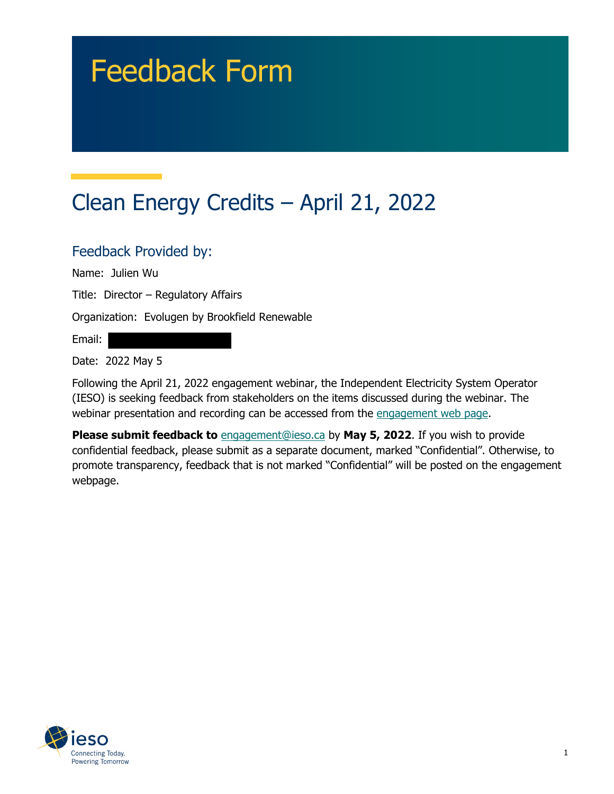# Feedback Form

# Clean Energy Credits – April 21, 2022

#### Feedback Provided by:

Name: Julien Wu

Title: Director – Regulatory Affairs

Organization: Evolugen by Brookfield Renewable

Email:

Date: 2022 May 5

Following the April 21, 2022 engagement webinar, the Independent Electricity System Operator (IESO) is seeking feedback from stakeholders on the items discussed during the webinar. The webinar presentation and recording can be accessed from the [engagement web page.](https://www.ieso.ca/en/Sector-Participants/Engagement-Initiatives/Engagements/Clean-Energy-Credits)

**Please submit feedback to** [engagement@ieso.ca](mailto:engagement@ieso.ca) by **May 5, 2022**. If you wish to provide confidential feedback, please submit as a separate document, marked "Confidential". Otherwise, to promote transparency, feedback that is not marked "Confidential" will be posted on the engagement webpage.

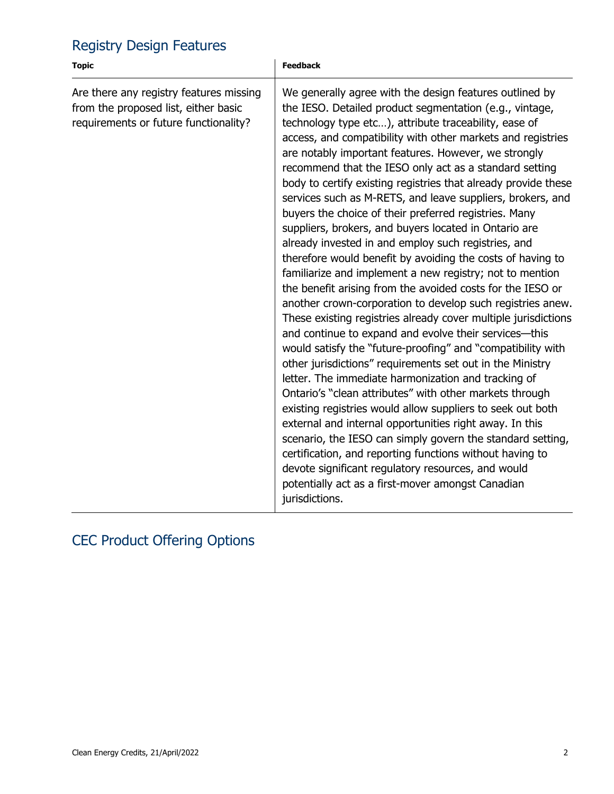#### Registry Design Features

| <b>Topic</b>                                                                                                             | <b>Feedback</b>                                                                                                                                                                                                                                                                                                                                                                                                                                                                                                                                                                                                                                                                                                                                                                                                                                                                                                                                                                                                                                                                                                                                                                                                                                                                                                                                                                                                                                                                                                                                                                                                                                                                      |
|--------------------------------------------------------------------------------------------------------------------------|--------------------------------------------------------------------------------------------------------------------------------------------------------------------------------------------------------------------------------------------------------------------------------------------------------------------------------------------------------------------------------------------------------------------------------------------------------------------------------------------------------------------------------------------------------------------------------------------------------------------------------------------------------------------------------------------------------------------------------------------------------------------------------------------------------------------------------------------------------------------------------------------------------------------------------------------------------------------------------------------------------------------------------------------------------------------------------------------------------------------------------------------------------------------------------------------------------------------------------------------------------------------------------------------------------------------------------------------------------------------------------------------------------------------------------------------------------------------------------------------------------------------------------------------------------------------------------------------------------------------------------------------------------------------------------------|
| Are there any registry features missing<br>from the proposed list, either basic<br>requirements or future functionality? | We generally agree with the design features outlined by<br>the IESO. Detailed product segmentation (e.g., vintage,<br>technology type etc), attribute traceability, ease of<br>access, and compatibility with other markets and registries<br>are notably important features. However, we strongly<br>recommend that the IESO only act as a standard setting<br>body to certify existing registries that already provide these<br>services such as M-RETS, and leave suppliers, brokers, and<br>buyers the choice of their preferred registries. Many<br>suppliers, brokers, and buyers located in Ontario are<br>already invested in and employ such registries, and<br>therefore would benefit by avoiding the costs of having to<br>familiarize and implement a new registry; not to mention<br>the benefit arising from the avoided costs for the IESO or<br>another crown-corporation to develop such registries anew.<br>These existing registries already cover multiple jurisdictions<br>and continue to expand and evolve their services-this<br>would satisfy the "future-proofing" and "compatibility with<br>other jurisdictions" requirements set out in the Ministry<br>letter. The immediate harmonization and tracking of<br>Ontario's "clean attributes" with other markets through<br>existing registries would allow suppliers to seek out both<br>external and internal opportunities right away. In this<br>scenario, the IESO can simply govern the standard setting,<br>certification, and reporting functions without having to<br>devote significant regulatory resources, and would<br>potentially act as a first-mover amongst Canadian<br>jurisdictions. |

#### CEC Product Offering Options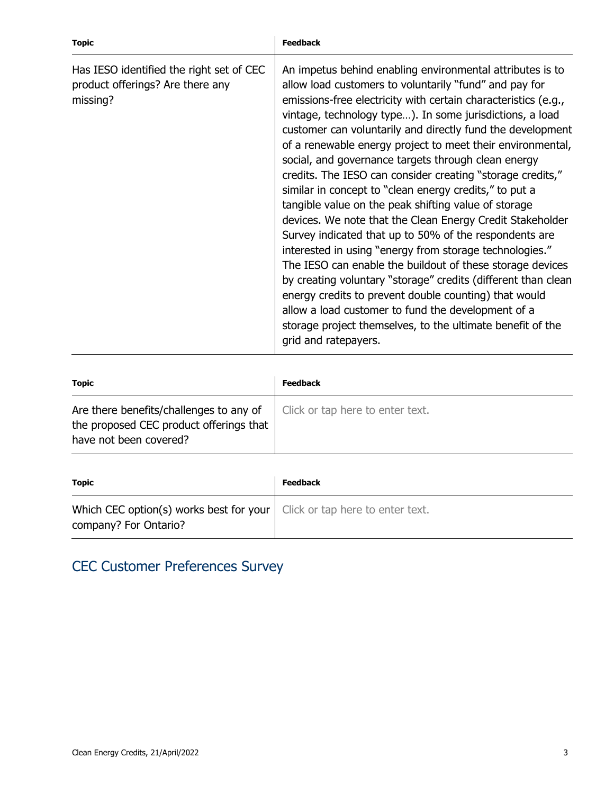| <b>Topic</b>                                                                             | <b>Feedback</b>                                                                                                                                                                                                                                                                                                                                                                                                                                                                                                                                                                                                                                                                                                                                                                                                                                                                                                                                                                                                                                                                                                                           |
|------------------------------------------------------------------------------------------|-------------------------------------------------------------------------------------------------------------------------------------------------------------------------------------------------------------------------------------------------------------------------------------------------------------------------------------------------------------------------------------------------------------------------------------------------------------------------------------------------------------------------------------------------------------------------------------------------------------------------------------------------------------------------------------------------------------------------------------------------------------------------------------------------------------------------------------------------------------------------------------------------------------------------------------------------------------------------------------------------------------------------------------------------------------------------------------------------------------------------------------------|
| Has IESO identified the right set of CEC<br>product offerings? Are there any<br>missing? | An impetus behind enabling environmental attributes is to<br>allow load customers to voluntarily "fund" and pay for<br>emissions-free electricity with certain characteristics (e.g.,<br>vintage, technology type). In some jurisdictions, a load<br>customer can voluntarily and directly fund the development<br>of a renewable energy project to meet their environmental,<br>social, and governance targets through clean energy<br>credits. The IESO can consider creating "storage credits,"<br>similar in concept to "clean energy credits," to put a<br>tangible value on the peak shifting value of storage<br>devices. We note that the Clean Energy Credit Stakeholder<br>Survey indicated that up to 50% of the respondents are<br>interested in using "energy from storage technologies."<br>The IESO can enable the buildout of these storage devices<br>by creating voluntary "storage" credits (different than clean<br>energy credits to prevent double counting) that would<br>allow a load customer to fund the development of a<br>storage project themselves, to the ultimate benefit of the<br>grid and ratepayers. |

| <b>Topic</b>                                                                                                 | <b>Feedback</b>                  |
|--------------------------------------------------------------------------------------------------------------|----------------------------------|
| Are there benefits/challenges to any of<br>the proposed CEC product offerings that<br>have not been covered? | Click or tap here to enter text. |

| Topic                                                                                                     | <b>Feedback</b> |
|-----------------------------------------------------------------------------------------------------------|-----------------|
| Which CEC option(s) works best for your $\vert$ Click or tap here to enter text.<br>company? For Ontario? |                 |

## CEC Customer Preferences Survey